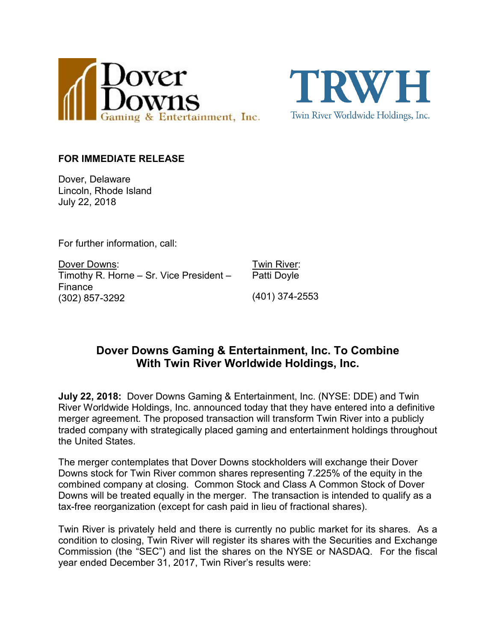



#### **FOR IMMEDIATE RELEASE**

Dover, Delaware Lincoln, Rhode Island July 22, 2018

For further information, call:

Dover Downs: Timothy R. Horne – Sr. Vice President – Finance (302) 857-3292

Twin River: Patti Doyle

(401) 374-2553

# **Dover Downs Gaming & Entertainment, Inc. To Combine With Twin River Worldwide Holdings, Inc.**

**July 22, 2018:** Dover Downs Gaming & Entertainment, Inc. (NYSE: DDE) and Twin River Worldwide Holdings, Inc. announced today that they have entered into a definitive merger agreement. The proposed transaction will transform Twin River into a publicly traded company with strategically placed gaming and entertainment holdings throughout the United States.

The merger contemplates that Dover Downs stockholders will exchange their Dover Downs stock for Twin River common shares representing 7.225% of the equity in the combined company at closing. Common Stock and Class A Common Stock of Dover Downs will be treated equally in the merger. The transaction is intended to qualify as a tax-free reorganization (except for cash paid in lieu of fractional shares).

Twin River is privately held and there is currently no public market for its shares. As a condition to closing, Twin River will register its shares with the Securities and Exchange Commission (the "SEC") and list the shares on the NYSE or NASDAQ. For the fiscal year ended December 31, 2017, Twin River's results were: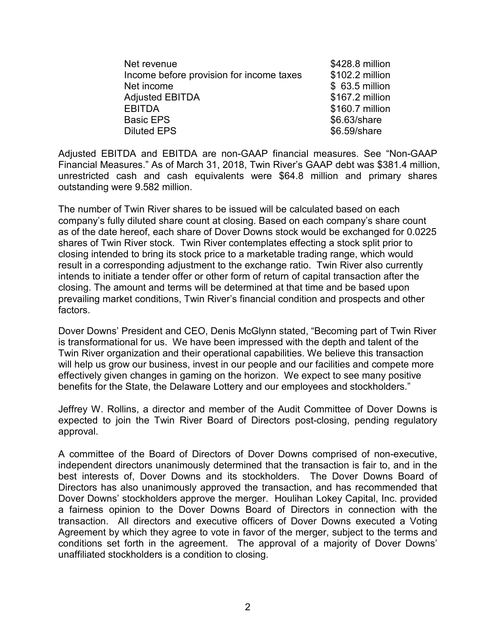| Net revenue                              | \$428.8 million |
|------------------------------------------|-----------------|
| Income before provision for income taxes | \$102.2 million |
| Net income                               | \$63.5 million  |
| <b>Adjusted EBITDA</b>                   | \$167.2 million |
| <b>EBITDA</b>                            | \$160.7 million |
| <b>Basic EPS</b>                         | \$6.63/share    |
| <b>Diluted EPS</b>                       | \$6.59/share    |

Adjusted EBITDA and EBITDA are non-GAAP financial measures. See "Non-GAAP Financial Measures." As of March 31, 2018, Twin River's GAAP debt was \$381.4 million, unrestricted cash and cash equivalents were \$64.8 million and primary shares outstanding were 9.582 million.

The number of Twin River shares to be issued will be calculated based on each company's fully diluted share count at closing. Based on each company's share count as of the date hereof, each share of Dover Downs stock would be exchanged for 0.0225 shares of Twin River stock. Twin River contemplates effecting a stock split prior to closing intended to bring its stock price to a marketable trading range, which would result in a corresponding adjustment to the exchange ratio. Twin River also currently intends to initiate a tender offer or other form of return of capital transaction after the closing. The amount and terms will be determined at that time and be based upon prevailing market conditions, Twin River's financial condition and prospects and other factors.

Dover Downs' President and CEO, Denis McGlynn stated, "Becoming part of Twin River is transformational for us. We have been impressed with the depth and talent of the Twin River organization and their operational capabilities. We believe this transaction will help us grow our business, invest in our people and our facilities and compete more effectively given changes in gaming on the horizon. We expect to see many positive benefits for the State, the Delaware Lottery and our employees and stockholders."

Jeffrey W. Rollins, a director and member of the Audit Committee of Dover Downs is expected to join the Twin River Board of Directors post-closing, pending regulatory approval.

A committee of the Board of Directors of Dover Downs comprised of non-executive, independent directors unanimously determined that the transaction is fair to, and in the best interests of, Dover Downs and its stockholders. The Dover Downs Board of Directors has also unanimously approved the transaction, and has recommended that Dover Downs' stockholders approve the merger. Houlihan Lokey Capital, Inc. provided a fairness opinion to the Dover Downs Board of Directors in connection with the transaction. All directors and executive officers of Dover Downs executed a Voting Agreement by which they agree to vote in favor of the merger, subject to the terms and conditions set forth in the agreement. The approval of a majority of Dover Downs' unaffiliated stockholders is a condition to closing.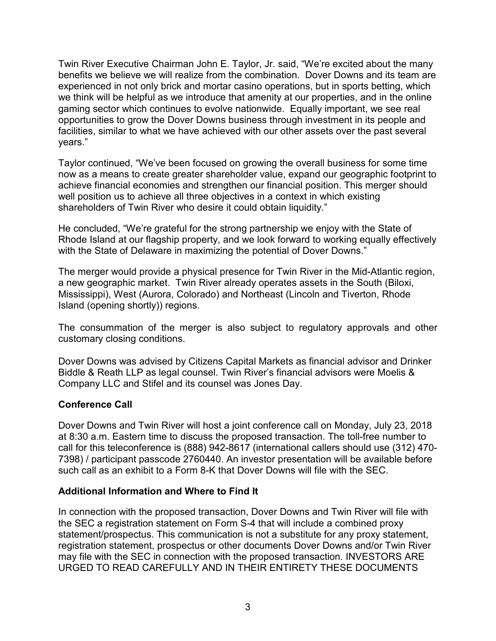Twin River Executive Chairman John E. Taylor, Jr. said, "We're excited about the many benefits we believe we will realize from the combination. Dover Downs and its team are experienced in not only brick and mortar casino operations, but in sports betting, which we think will be helpful as we introduce that amenity at our properties, and in the online gaming sector which continues to evolve nationwide. Equally important, we see real opportunities to grow the Dover Downs business through investment in its people and facilities, similar to what we have achieved with our other assets over the past several years."

Taylor continued, "We've been focused on growing the overall business for some time now as a means to create greater shareholder value, expand our geographic footprint to achieve financial economies and strengthen our financial position. This merger should well position us to achieve all three objectives in a context in which existing shareholders of Twin River who desire it could obtain liquidity."

He concluded, "We're grateful for the strong partnership we enjoy with the State of Rhode Island at our flagship property, and we look forward to working equally effectively with the State of Delaware in maximizing the potential of Dover Downs."

The merger would provide a physical presence for Twin River in the Mid-Atlantic region, a new geographic market. Twin River already operates assets in the South (Biloxi, Mississippi), West (Aurora, Colorado) and Northeast (Lincoln and Tiverton, Rhode Island (opening shortly)) regions.

The consummation of the merger is also subject to regulatory approvals and other customary closing conditions.

Dover Downs was advised by Citizens Capital Markets as financial advisor and Drinker Biddle & Reath LLP as legal counsel. Twin River's financial advisors were Moelis & Company LLC and Stifel and its counsel was Jones Day.

## **Conference Call**

Dover Downs and Twin River will host a joint conference call on Monday, July 23, 2018 at 8:30 a.m. Eastern time to discuss the proposed transaction. The toll-free number to call for this teleconference is (888) 942-8617 (international callers should use (312) 470- 7398) / participant passcode 2760440. An investor presentation will be available before such call as an exhibit to a Form 8-K that Dover Downs will file with the SEC.

## **Additional Information and Where to Find It**

In connection with the proposed transaction, Dover Downs and Twin River will file with the SEC a registration statement on Form S-4 that will include a combined proxy statement/prospectus. This communication is not a substitute for any proxy statement, registration statement, prospectus or other documents Dover Downs and/or Twin River may file with the SEC in connection with the proposed transaction. INVESTORS ARE URGED TO READ CAREFULLY AND IN THEIR ENTIRETY THESE DOCUMENTS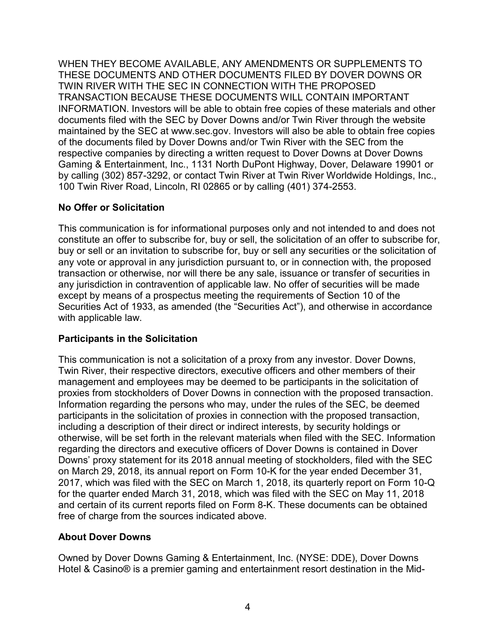WHEN THEY BECOME AVAILABLE, ANY AMENDMENTS OR SUPPLEMENTS TO THESE DOCUMENTS AND OTHER DOCUMENTS FILED BY DOVER DOWNS OR TWIN RIVER WITH THE SEC IN CONNECTION WITH THE PROPOSED TRANSACTION BECAUSE THESE DOCUMENTS WILL CONTAIN IMPORTANT INFORMATION. Investors will be able to obtain free copies of these materials and other documents filed with the SEC by Dover Downs and/or Twin River through the website maintained by the SEC at www.sec.gov. Investors will also be able to obtain free copies of the documents filed by Dover Downs and/or Twin River with the SEC from the respective companies by directing a written request to Dover Downs at Dover Downs Gaming & Entertainment, Inc., 1131 North DuPont Highway, Dover, Delaware 19901 or by calling (302) 857-3292, or contact Twin River at Twin River Worldwide Holdings, Inc., 100 Twin River Road, Lincoln, RI 02865 or by calling (401) 374-2553.

## **No Offer or Solicitation**

This communication is for informational purposes only and not intended to and does not constitute an offer to subscribe for, buy or sell, the solicitation of an offer to subscribe for, buy or sell or an invitation to subscribe for, buy or sell any securities or the solicitation of any vote or approval in any jurisdiction pursuant to, or in connection with, the proposed transaction or otherwise, nor will there be any sale, issuance or transfer of securities in any jurisdiction in contravention of applicable law. No offer of securities will be made except by means of a prospectus meeting the requirements of Section 10 of the Securities Act of 1933, as amended (the "Securities Act"), and otherwise in accordance with applicable law.

## **Participants in the Solicitation**

This communication is not a solicitation of a proxy from any investor. Dover Downs, Twin River, their respective directors, executive officers and other members of their management and employees may be deemed to be participants in the solicitation of proxies from stockholders of Dover Downs in connection with the proposed transaction. Information regarding the persons who may, under the rules of the SEC, be deemed participants in the solicitation of proxies in connection with the proposed transaction, including a description of their direct or indirect interests, by security holdings or otherwise, will be set forth in the relevant materials when filed with the SEC. Information regarding the directors and executive officers of Dover Downs is contained in Dover Downs' proxy statement for its 2018 annual meeting of stockholders, filed with the SEC on March 29, 2018, its annual report on Form 10-K for the year ended December 31, 2017, which was filed with the SEC on March 1, 2018, its quarterly report on Form 10-Q for the quarter ended March 31, 2018, which was filed with the SEC on May 11, 2018 and certain of its current reports filed on Form 8-K. These documents can be obtained free of charge from the sources indicated above.

#### **About Dover Downs**

Owned by Dover Downs Gaming & Entertainment, Inc. (NYSE: DDE), Dover Downs Hotel & Casino® is a premier gaming and entertainment resort destination in the Mid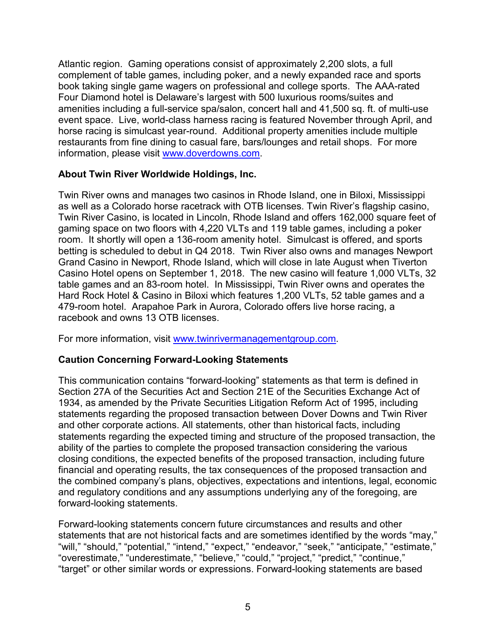Atlantic region. Gaming operations consist of approximately 2,200 slots, a full complement of table games, including poker, and a newly expanded race and sports book taking single game wagers on professional and college sports. The AAA-rated Four Diamond hotel is Delaware's largest with 500 luxurious rooms/suites and amenities including a full-service spa/salon, concert hall and 41,500 sq. ft. of multi-use event space. Live, world-class harness racing is featured November through April, and horse racing is simulcast year-round. Additional property amenities include multiple restaurants from fine dining to casual fare, bars/lounges and retail shops. For more information, please visit [www.doverdowns.com.](http://www.doverdowns.com/)

### **About Twin River Worldwide Holdings, Inc.**

Twin River owns and manages two casinos in Rhode Island, one in Biloxi, Mississippi as well as a Colorado horse racetrack with OTB licenses. Twin River's flagship casino, Twin River Casino, is located in Lincoln, Rhode Island and offers 162,000 square feet of gaming space on two floors with 4,220 VLTs and 119 table games, including a poker room. It shortly will open a 136-room amenity hotel. Simulcast is offered, and sports betting is scheduled to debut in Q4 2018. Twin River also owns and manages Newport Grand Casino in Newport, Rhode Island, which will close in late August when Tiverton Casino Hotel opens on September 1, 2018. The new casino will feature 1,000 VLTs, 32 table games and an 83-room hotel. In Mississippi, Twin River owns and operates the Hard Rock Hotel & Casino in Biloxi which features 1,200 VLTs, 52 table games and a 479-room hotel. Arapahoe Park in Aurora, Colorado offers live horse racing, a racebook and owns 13 OTB licenses.

For more information, visit [www.twinrivermanagementgroup.com.](http://www.twinrivermanagementgroup.com/)

## **Caution Concerning Forward-Looking Statements**

This communication contains "forward-looking" statements as that term is defined in Section 27A of the Securities Act and Section 21E of the Securities Exchange Act of 1934, as amended by the Private Securities Litigation Reform Act of 1995, including statements regarding the proposed transaction between Dover Downs and Twin River and other corporate actions. All statements, other than historical facts, including statements regarding the expected timing and structure of the proposed transaction, the ability of the parties to complete the proposed transaction considering the various closing conditions, the expected benefits of the proposed transaction, including future financial and operating results, the tax consequences of the proposed transaction and the combined company's plans, objectives, expectations and intentions, legal, economic and regulatory conditions and any assumptions underlying any of the foregoing, are forward-looking statements.

Forward-looking statements concern future circumstances and results and other statements that are not historical facts and are sometimes identified by the words "may," "will," "should," "potential," "intend," "expect," "endeavor," "seek," "anticipate," "estimate," "overestimate," "underestimate," "believe," "could," "project," "predict," "continue," "target" or other similar words or expressions. Forward-looking statements are based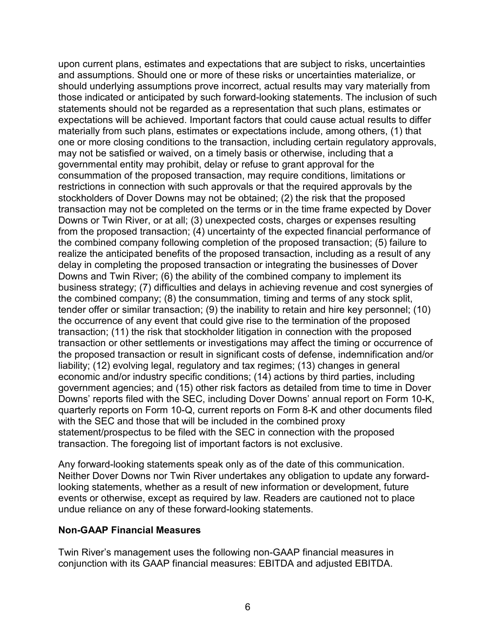upon current plans, estimates and expectations that are subject to risks, uncertainties and assumptions. Should one or more of these risks or uncertainties materialize, or should underlying assumptions prove incorrect, actual results may vary materially from those indicated or anticipated by such forward-looking statements. The inclusion of such statements should not be regarded as a representation that such plans, estimates or expectations will be achieved. Important factors that could cause actual results to differ materially from such plans, estimates or expectations include, among others, (1) that one or more closing conditions to the transaction, including certain regulatory approvals, may not be satisfied or waived, on a timely basis or otherwise, including that a governmental entity may prohibit, delay or refuse to grant approval for the consummation of the proposed transaction, may require conditions, limitations or restrictions in connection with such approvals or that the required approvals by the stockholders of Dover Downs may not be obtained; (2) the risk that the proposed transaction may not be completed on the terms or in the time frame expected by Dover Downs or Twin River, or at all; (3) unexpected costs, charges or expenses resulting from the proposed transaction; (4) uncertainty of the expected financial performance of the combined company following completion of the proposed transaction; (5) failure to realize the anticipated benefits of the proposed transaction, including as a result of any delay in completing the proposed transaction or integrating the businesses of Dover Downs and Twin River; (6) the ability of the combined company to implement its business strategy; (7) difficulties and delays in achieving revenue and cost synergies of the combined company; (8) the consummation, timing and terms of any stock split, tender offer or similar transaction; (9) the inability to retain and hire key personnel; (10) the occurrence of any event that could give rise to the termination of the proposed transaction; (11) the risk that stockholder litigation in connection with the proposed transaction or other settlements or investigations may affect the timing or occurrence of the proposed transaction or result in significant costs of defense, indemnification and/or liability; (12) evolving legal, regulatory and tax regimes; (13) changes in general economic and/or industry specific conditions; (14) actions by third parties, including government agencies; and (15) other risk factors as detailed from time to time in Dover Downs' reports filed with the SEC, including Dover Downs' annual report on Form 10-K, quarterly reports on Form 10-Q, current reports on Form 8-K and other documents filed with the SEC and those that will be included in the combined proxy statement/prospectus to be filed with the SEC in connection with the proposed transaction. The foregoing list of important factors is not exclusive.

Any forward-looking statements speak only as of the date of this communication. Neither Dover Downs nor Twin River undertakes any obligation to update any forwardlooking statements, whether as a result of new information or development, future events or otherwise, except as required by law. Readers are cautioned not to place undue reliance on any of these forward-looking statements.

#### **Non-GAAP Financial Measures**

Twin River's management uses the following non-GAAP financial measures in conjunction with its GAAP financial measures: EBITDA and adjusted EBITDA.